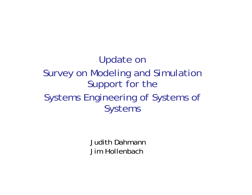Update on Survey on Modeling and Simulation Support for the Systems Engineering of Systems of Systems

> Judith DahmannJim Hollenbach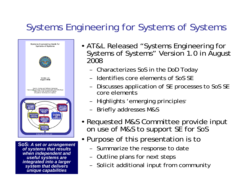### Systems Engineering for Systems of Systems



**SoS:** *A set or arrangement of systems that results when independent and useful systems are integrated into a larger system that delivers unique capabilities*

- AT&L Released "Systems Engineering for Systems of Systems" Version 1.0 in August 2008
	- –Characterizes SoS in the DoD Today
	- –Identifies core elements of SoS SE
	- – Discusses application of SE processes to SoS SE core elements
	- –Highlights 'emerging principles'
	- –Briefly addresses M&S
- Requested M&S Committee provide input on use of M&S to support SE for SoS
- Purpose of this presentation is to
	- –Summarize the response to date
	- –Outline plans for next steps
	- –Solicit additional input from community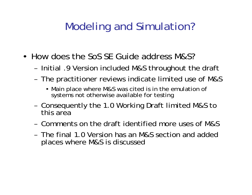# Modeling and Simulation?

- How does the SoS SE Guide address M&S?
	- –- Initial .9 Version included M&S throughout the draft
	- – The practitioner reviews indicate limited use of M&S
		- Main place where M&S was cited is in the emulation of systems not otherwise available for testing
	- – Consequently the 1.0 Working Draft limited M&S to this area
	- Comments on the draft identified more uses of M&S
	- The final 1.0 Version has an M&S section and added places where M&S is discussed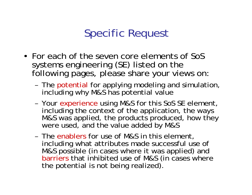# Specific Request

- For each of the seven core elements of SoS systems engineering (SE) listed on the following pages, please share your views on:
	- –- The potential for applying modeling and simulation, including why M&S has potential value
	- – Your experience using M&S for this SoS SE element, including the context of the application, the ways M&S was applied, the products produced, how they were used, and the value added by M&S
	- The enablers for use of M&S in this element, including what attributes made successful use of M&S possible (in cases where it was applied) and barriers that inhibited use of M&S (in cases where the potential is not being realized).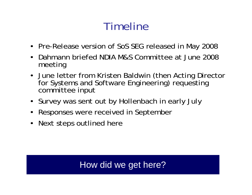# Timeline

- Pre-Release version of SoS SEG released in May 2008
- $\bullet$  Dahmann briefed NDIA M&S Committee at June 2008 meeting
- June letter from Kristen Baldwin (then Acting Director for Systems and Software Engineering) requesting committee input
- Survey was sent out by Hollenbach in early July
- $\bullet$ Responses were received in September
- $\bullet$ Next steps outlined here

### How did we get here?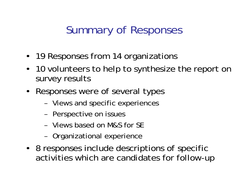# Summary of Responses

- 19 Responses from 14 organizations
- 10 volunteers to help to synthesize the report on survey results
- Responses were of several types
	- –- Views and specific experiences
	- –- Perspective on issues
	- Views based on M&S for SE
	- –- Organizational experience
- 8 responses include descriptions of specific activities which are candidates for follow-up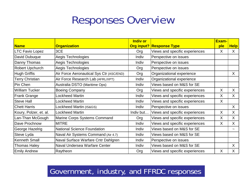## Responses Overview

|                        |                                          | <b>Indiv or</b> |                                 | Exam- |             |
|------------------------|------------------------------------------|-----------------|---------------------------------|-------|-------------|
| <b>Name</b>            | <b>Organization</b>                      |                 | <b>Org input? Response Type</b> | ple   | <b>Help</b> |
| <b>LTC Favio Lopez</b> | 3CE                                      | Org             | Views and specific experiences  | X     | X           |
| David Dubuque          | Aegis Technologies                       | Indiv           | Perspective on issues           |       |             |
| Danny Thomas           | Aegis Technologies                       | Indiv           | Perspective on issues           |       |             |
| <b>Robert Upchurch</b> | Aegis Technologies                       | Org             | Perspective on issues           |       |             |
| <b>Hugh Griffis</b>    | Air Force Aeronautical Sys Ctr (ASC/END) | Org             | Organizational experience       |       | X           |
| <b>Terry Christian</b> | Air Force Research Lab (AFRL/XPT)        | Indiv           | Organizational experience       |       |             |
| Pin Chen               | Australia DSTO (Maritime Ops)            | Indiv           | Views based on M&S for SE       |       |             |
| <b>William Tucker</b>  | <b>Boeing Company</b>                    | Org             | Views and specific experiences  | X     | $\sf X$     |
| <b>Frank Grange</b>    | Lockheed Martin                          | Indiv           | Views and specific experiences  | X     | $\sf X$     |
| <b>Steve Hall</b>      | Lockheed Martin                          | Indiv           | Views and specific experiences  | X     |             |
| <b>Chett Harris</b>    | Lockheed Martin (IS&GS)                  | Indiv           | Perspective on issues           |       | $\sf X$     |
| Koury, Polzer, et. al. | Lockheed Martin                          | Indiv but       | Views and specific experiences  | X     | X           |
| Lan-Than McGough       | Marine Corps Systems Command             | Org             | Views and specific experiences  | X     | X           |
| Dave Prochnow          | <b>MITRE</b>                             | Indiv           | Views and specific experiences  | X     | X           |
| <b>George Hazelrig</b> | <b>National Science Foundation</b>       | Indiv           | Views based on M&S for SE       |       |             |
| Steve Lyda             | Naval Air Systems Command (Air 4.7)      | Indiv           | Views based on M&S for SE       |       |             |
| <b>Kenneth Small</b>   | Naval Surface Warfare Cntr Dahlgren      | Indiv           | Perspective on issues           |       |             |
| <b>Thomas Haley</b>    | Naval Undersea Warfare Center            | Indiv           | Views based on M&S for SE       |       | X           |
| <b>Emily Andrew</b>    | Raytheon                                 | Org             | Views and specific experiences  | X     | X           |

#### Government, industry, and FFRDC responses